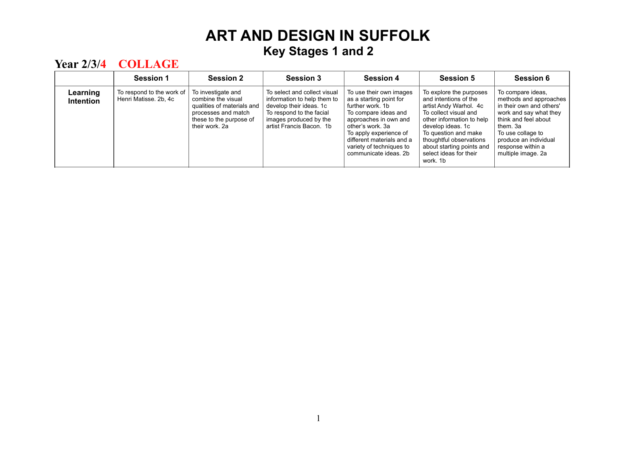|                       | <b>Session 1</b>                                   | <b>Session 2</b>                                                                                                                           | Session 3                                                                                                                                                                | <b>Session 4</b>                                                                                                                                                                                                                                        | <b>Session 5</b>                                                                                                                                                                                                                                                            | <b>Session 6</b>                                                                                                                                                                                                               |
|-----------------------|----------------------------------------------------|--------------------------------------------------------------------------------------------------------------------------------------------|--------------------------------------------------------------------------------------------------------------------------------------------------------------------------|---------------------------------------------------------------------------------------------------------------------------------------------------------------------------------------------------------------------------------------------------------|-----------------------------------------------------------------------------------------------------------------------------------------------------------------------------------------------------------------------------------------------------------------------------|--------------------------------------------------------------------------------------------------------------------------------------------------------------------------------------------------------------------------------|
| Learning<br>Intention | To respond to the work of<br>Henri Matisse, 2b, 4c | To investigate and<br>combine the visual<br>qualities of materials and<br>processes and match<br>these to the purpose of<br>their work. 2a | To select and collect visual<br>information to help them to<br>develop their ideas. 1c<br>To respond to the facial<br>images produced by the<br>artist Francis Bacon. 1b | To use their own images<br>as a starting point for<br>further work, 1b<br>To compare ideas and<br>approaches in own and<br>other's work. 3a<br>To apply experience of<br>different materials and a<br>variety of techniques to<br>communicate ideas, 2b | To explore the purposes<br>and intentions of the<br>artist Andy Warhol. 4c<br>To collect visual and<br>other information to help<br>develop ideas, 1c<br>To question and make<br>thoughtful observations<br>about starting points and<br>select ideas for their<br>work. 1b | To compare ideas,<br>methods and approaches<br>in their own and others'<br>work and say what they<br>think and feel about<br>them. 3a<br>To use collage to<br>produce an individual<br>response within a<br>multiple image. 2a |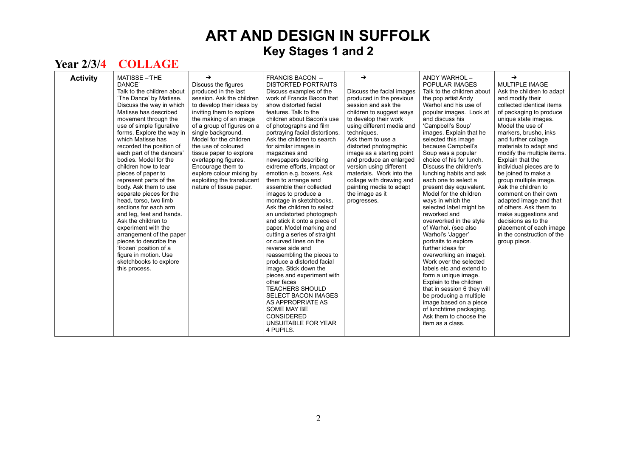| <b>Activity</b> | <b>MATISSE-THE</b><br>DANCE'<br>Talk to the children about<br>'The Dance' by Matisse.<br>Discuss the way in which<br>Matisse has described<br>movement through the<br>use of simple figurative<br>forms. Explore the way in<br>which Matisse has<br>recorded the position of<br>each part of the dancers'<br>bodies. Model for the<br>children how to tear<br>pieces of paper to<br>represent parts of the<br>body. Ask them to use<br>separate pieces for the<br>head, torso, two limb<br>sections for each arm<br>and leg, feet and hands.<br>Ask the children to<br>experiment with the<br>arrangement of the paper<br>pieces to describe the<br>'frozen' position of a<br>figure in motion. Use<br>sketchbooks to explore<br>this process. | →<br>Discuss the figures<br>produced in the last<br>session. Ask the children<br>to develop their ideas by<br>inviting them to explore<br>the making of an image<br>of a group of figures on a<br>single background.<br>Model for the children<br>the use of coloured<br>tissue paper to explore<br>overlapping figures.<br>Encourage them to<br>explore colour mixing by<br>exploiting the translucent<br>nature of tissue paper. | <b>FRANCIS BACON -</b><br><b>DISTORTED PORTRAITS</b><br>Discuss examples of the<br>work of Francis Bacon that<br>show distorted facial<br>features. Talk to the<br>children about Bacon's use<br>of photographs and film<br>portraying facial distortions.<br>Ask the children to search<br>for similar images in<br>magazines and<br>newspapers describing<br>extreme efforts, impact or<br>emotion e.g. boxers. Ask<br>them to arrange and<br>assemble their collected<br>images to produce a<br>montage in sketchbooks.<br>Ask the children to select<br>an undistorted photograph<br>and stick it onto a piece of<br>paper. Model marking and<br>cutting a series of straight<br>or curved lines on the<br>reverse side and<br>reassembling the pieces to<br>produce a distorted facial<br>image. Stick down the<br>pieces and experiment with<br>other faces<br><b>TEACHERS SHOULD</b><br><b>SELECT BACON IMAGES</b><br>AS APPROPRIATE AS<br><b>SOME MAY BE</b><br>CONSIDERED<br>UNSUITABLE FOR YEAR<br>4 PUPILS. | →<br>Discuss the facial images<br>produced in the previous<br>session and ask the<br>children to suggest ways<br>to develop their work<br>using different media and<br>techniques.<br>Ask them to use a<br>distorted photographic<br>image as a starting point<br>and produce an enlarged<br>version using different<br>materials. Work into the<br>collage with drawing and<br>painting media to adapt<br>the image as it<br>progresses. | ANDY WARHOL-<br>POPULAR IMAGES<br>Talk to the children about<br>the pop artist Andy<br>Warhol and his use of<br>popular images. Look at<br>and discuss his<br>'Campbell's Soup'<br>images. Explain that he<br>selected this image<br>because Campbell's<br>Soup was a popular<br>choice of his for lunch.<br>Discuss the children's<br>lunching habits and ask<br>each one to select a<br>present day equivalent.<br>Model for the children<br>ways in which the<br>selected label might be<br>reworked and<br>overworked in the style<br>of Warhol. (see also<br>Warhol's 'Jagger'<br>portraits to explore<br>further ideas for<br>overworking an image).<br>Work over the selected<br>labels etc and extend to<br>form a unique image.<br>Explain to the children<br>that in session 6 they will<br>be producing a multiple<br>image based on a piece<br>of lunchtime packaging.<br>Ask them to choose the<br>item as a class. | →<br>MULTIPLE IMAGE<br>Ask the children to adapt<br>and modify their<br>collected identical items<br>of packaging to produce<br>unique state images.<br>Model the use of<br>markers, brusho, inks<br>and further collage<br>materials to adapt and<br>modify the multiple items.<br>Explain that the<br>individual pieces are to<br>be joined to make a<br>group multiple image.<br>Ask the children to<br>comment on their own<br>adapted image and that<br>of others. Ask them to<br>make suggestions and<br>decisions as to the<br>placement of each image<br>in the construction of the<br>group piece. |
|-----------------|------------------------------------------------------------------------------------------------------------------------------------------------------------------------------------------------------------------------------------------------------------------------------------------------------------------------------------------------------------------------------------------------------------------------------------------------------------------------------------------------------------------------------------------------------------------------------------------------------------------------------------------------------------------------------------------------------------------------------------------------|------------------------------------------------------------------------------------------------------------------------------------------------------------------------------------------------------------------------------------------------------------------------------------------------------------------------------------------------------------------------------------------------------------------------------------|------------------------------------------------------------------------------------------------------------------------------------------------------------------------------------------------------------------------------------------------------------------------------------------------------------------------------------------------------------------------------------------------------------------------------------------------------------------------------------------------------------------------------------------------------------------------------------------------------------------------------------------------------------------------------------------------------------------------------------------------------------------------------------------------------------------------------------------------------------------------------------------------------------------------------------------------------------------------------------------------------------------------|-------------------------------------------------------------------------------------------------------------------------------------------------------------------------------------------------------------------------------------------------------------------------------------------------------------------------------------------------------------------------------------------------------------------------------------------|----------------------------------------------------------------------------------------------------------------------------------------------------------------------------------------------------------------------------------------------------------------------------------------------------------------------------------------------------------------------------------------------------------------------------------------------------------------------------------------------------------------------------------------------------------------------------------------------------------------------------------------------------------------------------------------------------------------------------------------------------------------------------------------------------------------------------------------------------------------------------------------------------------------------------------|-------------------------------------------------------------------------------------------------------------------------------------------------------------------------------------------------------------------------------------------------------------------------------------------------------------------------------------------------------------------------------------------------------------------------------------------------------------------------------------------------------------------------------------------------------------------------------------------------------------|
|-----------------|------------------------------------------------------------------------------------------------------------------------------------------------------------------------------------------------------------------------------------------------------------------------------------------------------------------------------------------------------------------------------------------------------------------------------------------------------------------------------------------------------------------------------------------------------------------------------------------------------------------------------------------------------------------------------------------------------------------------------------------------|------------------------------------------------------------------------------------------------------------------------------------------------------------------------------------------------------------------------------------------------------------------------------------------------------------------------------------------------------------------------------------------------------------------------------------|------------------------------------------------------------------------------------------------------------------------------------------------------------------------------------------------------------------------------------------------------------------------------------------------------------------------------------------------------------------------------------------------------------------------------------------------------------------------------------------------------------------------------------------------------------------------------------------------------------------------------------------------------------------------------------------------------------------------------------------------------------------------------------------------------------------------------------------------------------------------------------------------------------------------------------------------------------------------------------------------------------------------|-------------------------------------------------------------------------------------------------------------------------------------------------------------------------------------------------------------------------------------------------------------------------------------------------------------------------------------------------------------------------------------------------------------------------------------------|----------------------------------------------------------------------------------------------------------------------------------------------------------------------------------------------------------------------------------------------------------------------------------------------------------------------------------------------------------------------------------------------------------------------------------------------------------------------------------------------------------------------------------------------------------------------------------------------------------------------------------------------------------------------------------------------------------------------------------------------------------------------------------------------------------------------------------------------------------------------------------------------------------------------------------|-------------------------------------------------------------------------------------------------------------------------------------------------------------------------------------------------------------------------------------------------------------------------------------------------------------------------------------------------------------------------------------------------------------------------------------------------------------------------------------------------------------------------------------------------------------------------------------------------------------|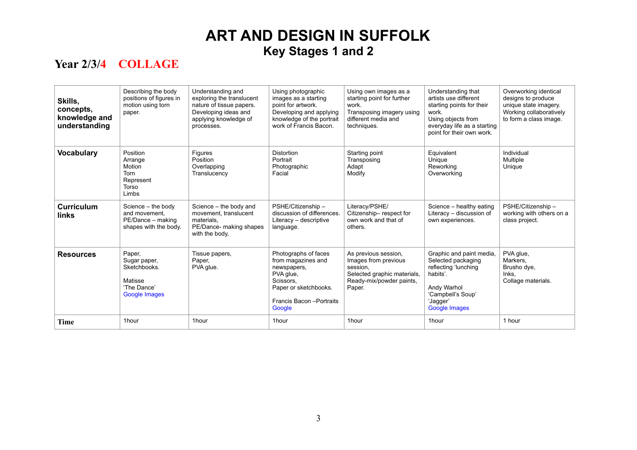| Skills,<br>concepts,<br>knowledge and<br>understanding | Describing the body<br>positions of figures in<br>motion using torn<br>paper.            | Understanding and<br>exploring the translucent<br>nature of tissue papers.<br>Developing ideas and<br>applying knowledge of<br>processes. | Using photographic<br>images as a starting<br>point for artwork.<br>Developing and applying<br>knowledge of the portrait<br>work of Francis Bacon.  | Using own images as a<br>starting point for further<br>work.<br>Transposing imagery using<br>different media and<br>techniques. | Understanding that<br>artists use different<br>starting points for their<br>work.<br>Using objects from<br>everyday life as a starting<br>point for their own work. | Overworking identical<br>designs to produce<br>unique state imagery.<br>Working collaboratively<br>to form a class image. |
|--------------------------------------------------------|------------------------------------------------------------------------------------------|-------------------------------------------------------------------------------------------------------------------------------------------|-----------------------------------------------------------------------------------------------------------------------------------------------------|---------------------------------------------------------------------------------------------------------------------------------|---------------------------------------------------------------------------------------------------------------------------------------------------------------------|---------------------------------------------------------------------------------------------------------------------------|
| <b>Vocabulary</b>                                      | Position<br>Arrange<br>Motion<br><b>Torn</b><br>Represent<br>Torso<br>Limbs              | Figures<br>Position<br>Overlapping<br>Translucency                                                                                        | <b>Distortion</b><br>Portrait<br>Photographic<br>Facial                                                                                             | Starting point<br>Transposing<br>Adapt<br>Modify                                                                                | Equivalent<br>Unique<br>Reworking<br>Overworking                                                                                                                    | Individual<br>Multiple<br>Unique                                                                                          |
| <b>Curriculum</b><br>links                             | Science - the body<br>and movement.<br>PE/Dance - making<br>shapes with the body.        | Science - the body and<br>movement, translucent<br>materials.<br>PE/Dance- making shapes<br>with the body.                                | PSHE/Citizenship -<br>discussion of differences.<br>Literacy - descriptive<br>language.                                                             | Literacy/PSHE/<br>Citizenship-respect for<br>own work and that of<br>others.                                                    | Science - healthy eating<br>Literacy - discussion of<br>own experiences.                                                                                            | PSHE/Citizenship-<br>working with others on a<br>class project.                                                           |
| <b>Resources</b>                                       | Paper,<br>Sugar paper,<br>Sketchbooks.<br>Matisse<br>'The Dance'<br><b>Google Images</b> | Tissue papers,<br>Paper,<br>PVA glue.                                                                                                     | Photographs of faces<br>from magazines and<br>newspapers,<br>PVA glue,<br>Scissors,<br>Paper or sketchbooks.<br>Francis Bacon - Portraits<br>Google | As previous session,<br>Images from previous<br>session.<br>Selected graphic materials,<br>Ready-mix/powder paints,<br>Paper.   | Graphic and paint media,<br>Selected packaging<br>reflecting 'lunching<br>habits'.<br>Andy Warhol<br>'Campbell's Soup'<br>'Jagger'<br><b>Google Images</b>          | PVA glue,<br>Markers.<br>Brusho dye,<br>Inks,<br>Collage materials.                                                       |
| Time                                                   | 1hour                                                                                    | 1hour                                                                                                                                     | 1hour                                                                                                                                               | 1hour                                                                                                                           | 1hour                                                                                                                                                               | 1 hour                                                                                                                    |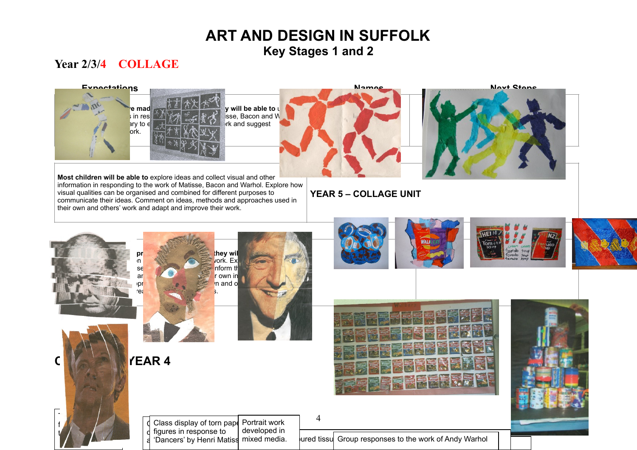#### **Year 2/3/4 COLLAGE**

To receive the second second figure in response  $t \wedge \neg \wedge$ 





|  | d Class display of torn pape Portrait work |              |                                                        |  |
|--|--------------------------------------------|--------------|--------------------------------------------------------|--|
|  | I d figures in response to                 | developed in |                                                        |  |
|  | I a 'Dancers' by Henri Matiss mixed media. |              | ured tissul Group responses to the work of Andy Warhol |  |

4